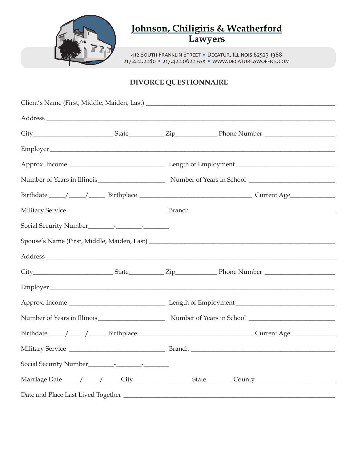

# Johnson, Chiligiris & Weatherford<br>Lawyers

412 South Franklin Street • Decatur, Illinois 62523-1388 217.422.2280 • 217.422.0622 fax • www.decaturlawoffice.com

## **DIVORCE QUESTIONNAIRE**

|  | Number of Years in Illinois Number of Years in School Number of Years in School                                |  |  |
|--|----------------------------------------------------------------------------------------------------------------|--|--|
|  |                                                                                                                |  |  |
|  |                                                                                                                |  |  |
|  |                                                                                                                |  |  |
|  | Marriage Date _____/ _____/ _____ City ______________________ State _________ County _________________________ |  |  |
|  |                                                                                                                |  |  |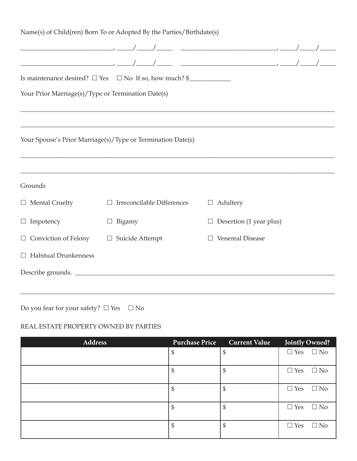|                                                    | Name(s) of Child(ren) Born To or Adopted By the Parties/Birthdate(s) |                                                                                                                                                                                                                                                                                                                                                                    |  |
|----------------------------------------------------|----------------------------------------------------------------------|--------------------------------------------------------------------------------------------------------------------------------------------------------------------------------------------------------------------------------------------------------------------------------------------------------------------------------------------------------------------|--|
|                                                    |                                                                      |                                                                                                                                                                                                                                                                                                                                                                    |  |
|                                                    |                                                                      | $\begin{picture}(150,10) \put(0,0){\vector(1,0){100}} \put(15,0){\vector(1,0){100}} \put(15,0){\vector(1,0){100}} \put(15,0){\vector(1,0){100}} \put(15,0){\vector(1,0){100}} \put(15,0){\vector(1,0){100}} \put(15,0){\vector(1,0){100}} \put(15,0){\vector(1,0){100}} \put(15,0){\vector(1,0){100}} \put(15,0){\vector(1,0){100}} \put(15,0){\vector(1,0){100}}$ |  |
|                                                    | Is maintenance desired? $\Box$ Yes $\Box$ No If so, how much? \$     |                                                                                                                                                                                                                                                                                                                                                                    |  |
| Your Prior Marriage(s)/Type or Termination Date(s) |                                                                      |                                                                                                                                                                                                                                                                                                                                                                    |  |
|                                                    |                                                                      |                                                                                                                                                                                                                                                                                                                                                                    |  |
|                                                    |                                                                      |                                                                                                                                                                                                                                                                                                                                                                    |  |
|                                                    | Your Spouse's Prior Marriage(s)/Type or Termination Date(s)          |                                                                                                                                                                                                                                                                                                                                                                    |  |
|                                                    |                                                                      |                                                                                                                                                                                                                                                                                                                                                                    |  |
|                                                    |                                                                      | ,我们也不能在这里的时候,我们也不能在这里的时候,我们也不能会在这里的时候,我们也不能会在这里的时候,我们也不能会在这里的时候,我们也不能会在这里的时候,我们也不                                                                                                                                                                                                                                                                                  |  |
| Grounds                                            |                                                                      |                                                                                                                                                                                                                                                                                                                                                                    |  |
| $\Box$ Mental Cruelty                              | Irreconcilable Differences<br>$\Box$                                 | $\Box$ Adultery                                                                                                                                                                                                                                                                                                                                                    |  |
| $\Box$ Impotency                                   | Bigamy                                                               | $\Box$ Desertion (1 year plus)                                                                                                                                                                                                                                                                                                                                     |  |
| $\Box$ Conviction of Felony                        | $\Box$ Suicide Attempt                                               | <b>Venereal Disease</b>                                                                                                                                                                                                                                                                                                                                            |  |
| <b>Habitual Drunkenness</b><br>$\Box$              |                                                                      |                                                                                                                                                                                                                                                                                                                                                                    |  |
|                                                    | Describe grounds.                                                    |                                                                                                                                                                                                                                                                                                                                                                    |  |
|                                                    |                                                                      |                                                                                                                                                                                                                                                                                                                                                                    |  |

Do you fear for your safety?  $\Box$  Yes  $\quad \Box$  No

## REAL ESTATE PROPERTY OWNED BY PARTIES

| <b>Address</b> | <b>Purchase Price</b> | <b>Current Value</b> | Jointly Owned?             |
|----------------|-----------------------|----------------------|----------------------------|
|                | \$                    |                      | $\Box$ Yes $\Box$ No       |
|                | \$                    |                      | $\Box$ Yes<br>$\Box$ No    |
|                | \$                    | Œ                    | $\Box$ Yes<br>$\Box$ No    |
|                | \$                    |                      | $\Box$ No<br>$\Box$ Yes    |
|                | \$                    | ¢<br>Φ               | $\Box$ Yes<br>$\square$ No |